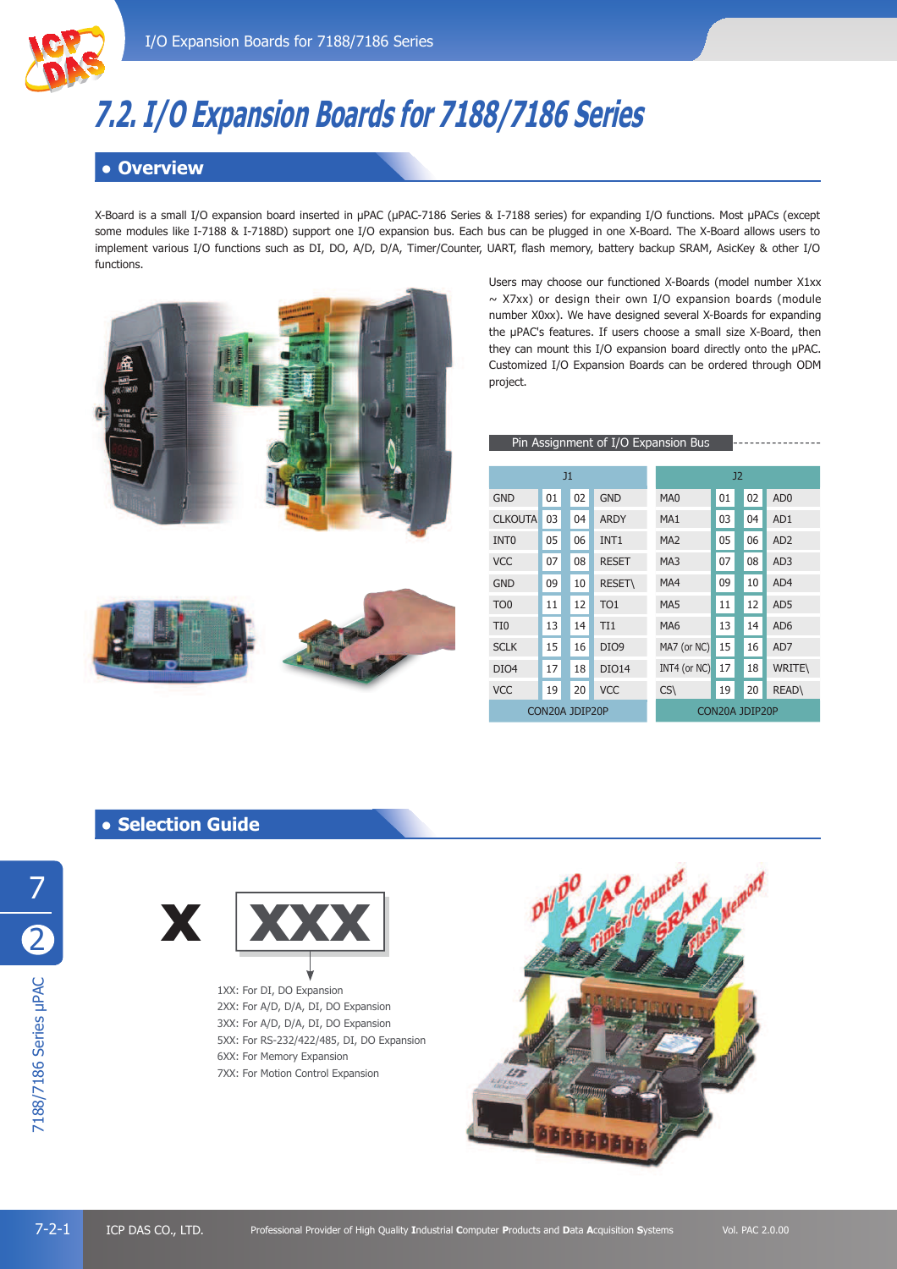

# **7.2. I/O Expansion Boards for 7188/7186 Series**

# ł **Overview**

X-Board is a small I/O expansion board inserted in µPAC (µPAC-7186 Series & I-7188 series) for expanding I/O functions. Most µPACs (except some modules like I-7188 & I-7188D) support one I/O expansion bus. Each bus can be plugged in one X-Board. The X-Board allows users to implement various I/O functions such as DI, DO, A/D, D/A, Timer/Counter, UART, flash memory, battery backup SRAM, AsicKey & other I/O functions.





Users may choose our functioned X-Boards (model number X1xx  $\sim$  X7xx) or design their own I/O expansion boards (module number X0xx). We have designed several X-Boards for expanding the µPAC's features. If users choose a small size X-Board, then they can mount this I/O expansion board directly onto the µPAC. Customized I/O Expansion Boards can be ordered through ODM project.

|                  |    |                |                  | Pin Assignment of I/O Expansion Bus |                |    |                 |  |
|------------------|----|----------------|------------------|-------------------------------------|----------------|----|-----------------|--|
|                  |    | J1             |                  |                                     |                | J2 |                 |  |
| <b>GND</b>       | 01 | 02             | <b>GND</b>       | MA <sub>0</sub>                     | 01             | 02 | AD <sub>0</sub> |  |
| <b>CLKOUTA</b>   | 03 | 04             | <b>ARDY</b>      | MA <sub>1</sub>                     | 03             | 04 | AD1             |  |
| INT <sub>0</sub> | 05 | 06             | INT1             | MA <sub>2</sub>                     | 05             | 06 | AD <sub>2</sub> |  |
| <b>VCC</b>       | 07 | 08             | <b>RESET</b>     | MA3                                 | 07             | 08 | AD <sub>3</sub> |  |
| <b>GND</b>       | 09 | 10             | <b>RESET\</b>    | MA4                                 | 09             | 10 | AD4             |  |
| TO <sub>0</sub>  | 11 | 12             | TO <sub>1</sub>  | MA5                                 | 11             | 12 | AD <sub>5</sub> |  |
| TI <sub>0</sub>  | 13 | 14             | TI <sub>1</sub>  | MA <sub>6</sub>                     | 13             | 14 | AD <sub>6</sub> |  |
| <b>SCLK</b>      | 15 | 16             | DIO <sub>9</sub> | MA7 (or NC)                         | 15             | 16 | AD7             |  |
| DIO <sub>4</sub> | 17 | 18             | <b>DIO14</b>     | INT4 (or NC)                        | 17             | 18 | <b>WRITE\</b>   |  |
| <b>VCC</b>       | 19 | 20             | <b>VCC</b>       | CS(                                 | 19             | 20 | <b>READ\</b>    |  |
|                  |    | CON20A JDIP20P |                  |                                     | CON20A JDIP20P |    |                 |  |

## **• Selection Guide**



1XX: For DI, DO Expansion 2XX: For A/D, D/A, DI, DO Expansion 3XX: For A/D, D/A, DI, DO Expansion 5XX: For RS-232/422/485, DI, DO Expansion 6XX: For Memory Expansion 7XX: For Motion Control Expansion

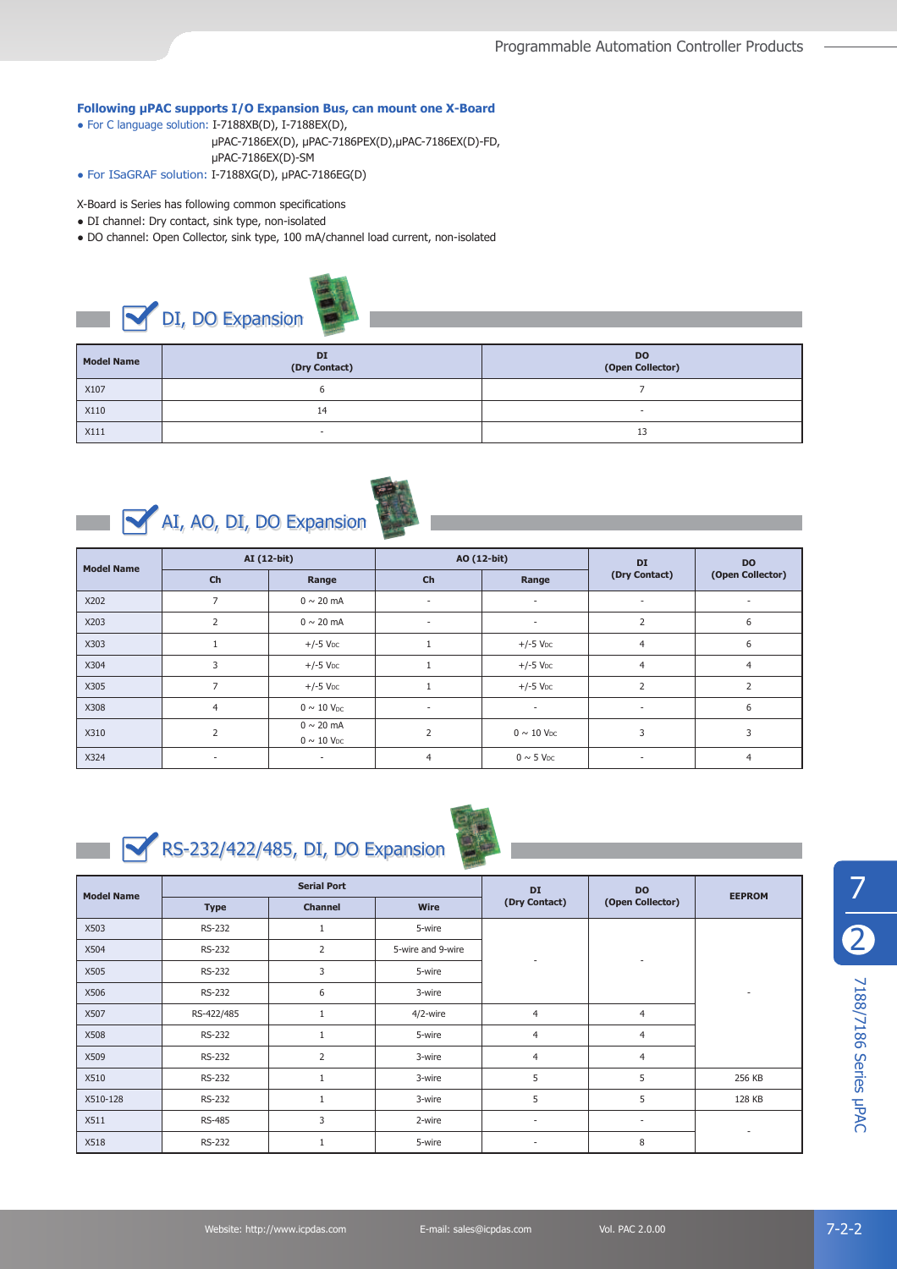#### **Following PAC supports I/O Expansion Bus, can mount one X-Board**

- ł For C language solution: I-7188XB(D), I-7188EX(D),
	- µPAC-7186EX(D), µPAC-7186PEX(D),µPAC-7186EX(D)-FD, µPAC-7186EX(D)-SM
- For ISaGRAF solution: I-7188XG(D), µPAC-7186EG(D)
- X-Board is Series has following common specifications
- DI channel: Dry contact, sink type, non-isolated
- ł DO channel: Open Collector, sink type, 100 mA/channel load current, non-isolated

# DI, DO Expansion

| <b>Model Name</b> | <b>DI</b><br>(Dry Contact) | <b>DO</b><br>(Open Collector) |
|-------------------|----------------------------|-------------------------------|
| X107              |                            |                               |
| X110              | 14                         |                               |
| X111              | -                          | 13                            |





| <b>Model Name</b> | AI (12-bit)    |                                               | AO (12-bit)    |                             | DI                       | <b>DO</b>        |
|-------------------|----------------|-----------------------------------------------|----------------|-----------------------------|--------------------------|------------------|
|                   | Ch             | Range                                         | Ch             | Range                       | (Dry Contact)            | (Open Collector) |
| X202              |                | $0 \sim 20$ mA                                | ٠              | $\sim$                      | ٠                        | ٠                |
| X203              | 2              | $0 \sim 20$ mA                                | ٠              | $\sim$                      | 2                        | 6                |
| X303              | 1              | $+/-5$ $VDC$                                  | 1              | $+/-5$ V <sub>DC</sub>      | $\overline{4}$           | 6                |
| X304              | 3              | $+/-5$ V <sub>DC</sub>                        |                | $+/-5$ V <sub>DC</sub>      | 4                        | 4                |
| X305              | 7              | $+/-5$ V <sub>DC</sub>                        |                | $+/-5$ V <sub>DC</sub>      | $\overline{2}$           |                  |
| X308              | $\overline{4}$ | $0 \sim 10$ V <sub>DC</sub>                   | $\sim$         | $\sim$                      | $\overline{\phantom{a}}$ | 6                |
| X310              | $\overline{2}$ | $0 \sim 20$ mA<br>$0 \sim 10$ V <sub>DC</sub> | $\overline{2}$ | $0 \sim 10$ V <sub>DC</sub> | 3                        | 3                |
| X324              | ٠              | $\sim$                                        | $\overline{4}$ | $0 \sim 5$ V <sub>DC</sub>  |                          | 4                |



RS-232/422/485, DI, DO Expansion



| <b>Model Name</b> |               | <b>Serial Port</b> |                   | DI             | <b>DO</b>        | <b>EEPROM</b>            |
|-------------------|---------------|--------------------|-------------------|----------------|------------------|--------------------------|
|                   | <b>Type</b>   | <b>Channel</b>     | Wire              | (Dry Contact)  | (Open Collector) |                          |
| X503              | RS-232        | 1                  | 5-wire            |                |                  |                          |
| X504              | RS-232        | $\overline{2}$     | 5-wire and 9-wire |                |                  |                          |
| X505              | RS-232        | 3                  | 5-wire            |                |                  |                          |
| X506              | RS-232        | 6                  | 3-wire            |                |                  | $\overline{\phantom{a}}$ |
| X507              | RS-422/485    | 1                  | 4/2-wire          | $\overline{4}$ | $\overline{4}$   |                          |
| X508              | RS-232        | $\mathbf{1}$       | 5-wire            | $\overline{4}$ | $\overline{4}$   |                          |
| X509              | RS-232        | $\overline{2}$     | 3-wire            | 4              | $\overline{4}$   |                          |
| X510              | RS-232        | 1                  | 3-wire            | 5              | 5                | 256 KB                   |
| X510-128          | RS-232        | $\mathbf{1}$       | 3-wire            | 5              | 5                | 128 KB                   |
| X511              | <b>RS-485</b> | 3                  | 2-wire            | ٠              | ٠                |                          |
| X518              | RS-232        | 1                  | 5-wire            | ٠              | 8                |                          |